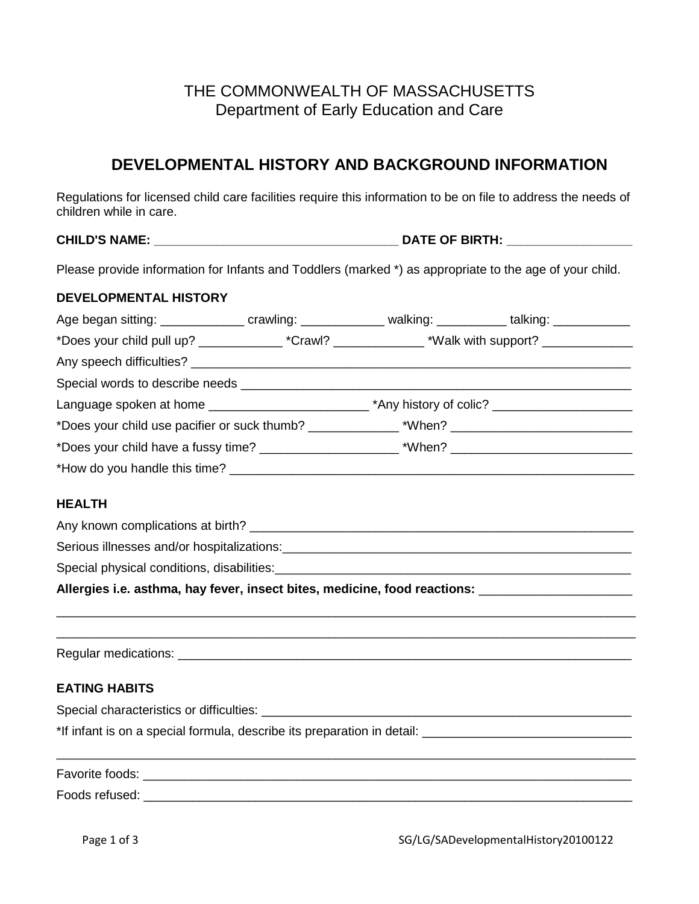# THE COMMONWEALTH OF MASSACHUSETTS Department of Early Education and Care

# **DEVELOPMENTAL HISTORY AND BACKGROUND INFORMATION**

Regulations for licensed child care facilities require this information to be on file to address the needs of children while in care.

**CHILD'S NAME: \_\_\_\_\_\_\_\_\_\_\_\_\_\_\_\_\_\_\_\_\_\_\_\_\_\_\_\_\_\_\_\_\_\_\_ DATE OF BIRTH: \_\_\_\_\_\_\_\_\_\_\_\_\_\_\_\_\_\_** 

Please provide information for Infants and Toddlers (marked \*) as appropriate to the age of your child.

#### **DEVELOPMENTAL HISTORY**

| Age began sitting: ________________ crawling: ______________ walking: ___________ talking: _____________        |  |  |  |  |
|-----------------------------------------------------------------------------------------------------------------|--|--|--|--|
| *Does your child pull up? ________________*Crawl? ________________*Walk with support? ______________            |  |  |  |  |
|                                                                                                                 |  |  |  |  |
|                                                                                                                 |  |  |  |  |
| Language spoken at home __________________________________*Any history of colic? _________________________      |  |  |  |  |
|                                                                                                                 |  |  |  |  |
|                                                                                                                 |  |  |  |  |
|                                                                                                                 |  |  |  |  |
| <b>HEALTH</b>                                                                                                   |  |  |  |  |
|                                                                                                                 |  |  |  |  |
|                                                                                                                 |  |  |  |  |
|                                                                                                                 |  |  |  |  |
| Allergies i.e. asthma, hay fever, insect bites, medicine, food reactions: Network and the set of the set of the |  |  |  |  |
|                                                                                                                 |  |  |  |  |

Regular medications: \_\_\_\_\_\_\_\_\_\_\_\_\_\_\_\_\_\_\_\_\_\_\_\_\_\_\_\_\_\_\_\_\_\_\_\_\_\_\_\_\_\_\_\_\_\_\_\_\_\_\_\_\_\_\_\_\_\_\_\_\_\_\_\_\_

# **EATING HABITS**

Special characteristics or difficulties: \_\_\_\_\_\_\_\_\_\_\_\_\_\_\_\_\_\_\_\_\_\_\_\_\_\_\_\_\_\_\_\_\_\_\_\_\_\_\_\_\_\_\_\_\_\_\_\_\_\_\_\_\_

\*If infant is on a special formula, describe its preparation in detail: \_\_\_\_\_\_\_\_\_\_\_\_\_\_\_\_\_\_\_\_\_\_\_\_\_\_\_\_\_\_

Favorite foods: \_\_\_\_\_\_\_\_\_\_\_\_\_\_\_\_\_\_\_\_\_\_\_\_\_\_\_\_\_\_\_\_\_\_\_\_\_\_\_\_\_\_\_\_\_\_\_\_\_\_\_\_\_\_\_\_\_\_\_\_\_\_\_\_\_\_\_\_\_\_ Foods refused: \_\_\_\_\_\_\_\_\_\_\_\_\_\_\_\_\_\_\_\_\_\_\_\_\_\_\_\_\_\_\_\_\_\_\_\_\_\_\_\_\_\_\_\_\_\_\_\_\_\_\_\_\_\_\_\_\_\_\_\_\_\_\_\_\_\_\_\_\_\_

\_\_\_\_\_\_\_\_\_\_\_\_\_\_\_\_\_\_\_\_\_\_\_\_\_\_\_\_\_\_\_\_\_\_\_\_\_\_\_\_\_\_\_\_\_\_\_\_\_\_\_\_\_\_\_\_\_\_\_\_\_\_\_\_\_\_\_\_\_\_\_\_\_\_\_\_\_\_\_\_\_\_\_

\_\_\_\_\_\_\_\_\_\_\_\_\_\_\_\_\_\_\_\_\_\_\_\_\_\_\_\_\_\_\_\_\_\_\_\_\_\_\_\_\_\_\_\_\_\_\_\_\_\_\_\_\_\_\_\_\_\_\_\_\_\_\_\_\_\_\_\_\_\_\_\_\_\_\_\_\_\_\_\_\_\_\_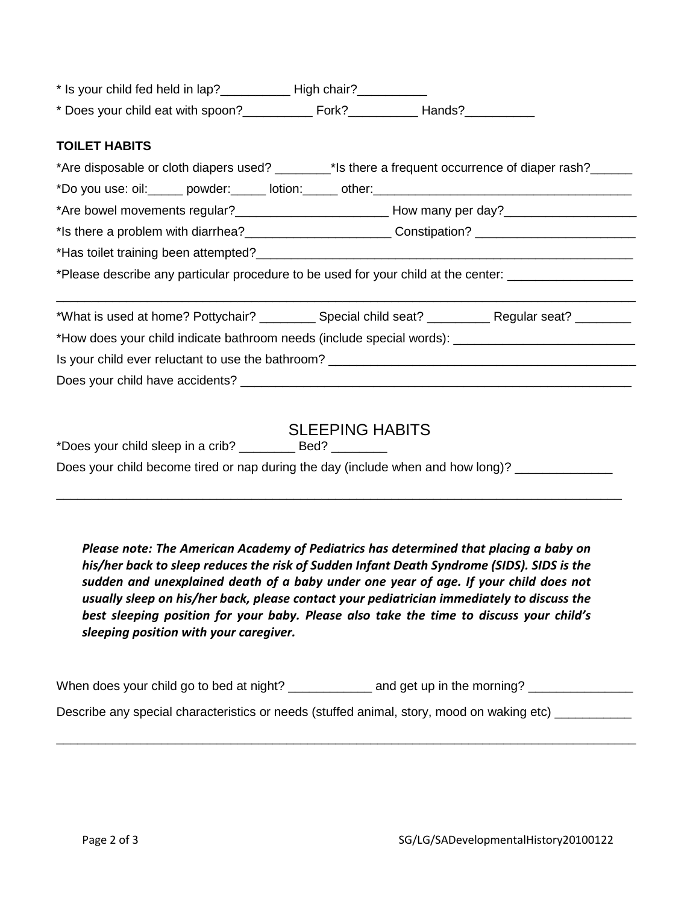| * Is your child fed held in lap? |  | High chair? |  |
|----------------------------------|--|-------------|--|
|----------------------------------|--|-------------|--|

\* Does your child eat with spoon?\_\_\_\_\_\_\_\_\_\_ Fork?\_\_\_\_\_\_\_\_\_\_ Hands?\_\_\_\_\_\_\_\_\_\_

## **TOILET HABITS**

| *Are disposable or cloth diapers used? _________* Is there a frequent occurrence of diaper rash? _______                                                                                                                        |  |  |  |  |  |
|---------------------------------------------------------------------------------------------------------------------------------------------------------------------------------------------------------------------------------|--|--|--|--|--|
|                                                                                                                                                                                                                                 |  |  |  |  |  |
|                                                                                                                                                                                                                                 |  |  |  |  |  |
| *Is there a problem with diarrhea?____________________________Constipation? ______________________________                                                                                                                      |  |  |  |  |  |
| *Has toilet training been attempted?<br>The same state of the state of the state of the state of the state of the state of the state of the state of the state of the state of the state of the state of the state of the state |  |  |  |  |  |
| *Please describe any particular procedure to be used for your child at the center: __________________________                                                                                                                   |  |  |  |  |  |
|                                                                                                                                                                                                                                 |  |  |  |  |  |
| *What is used at home? Pottychair? ___________ Special child seat? __________ Regular seat? ________                                                                                                                            |  |  |  |  |  |
| *How does your child indicate bathroom needs (include special words): _____________________________                                                                                                                             |  |  |  |  |  |
|                                                                                                                                                                                                                                 |  |  |  |  |  |
|                                                                                                                                                                                                                                 |  |  |  |  |  |
|                                                                                                                                                                                                                                 |  |  |  |  |  |
| <b>SLEEPING HABITS</b>                                                                                                                                                                                                          |  |  |  |  |  |
|                                                                                                                                                                                                                                 |  |  |  |  |  |

Does your child become tired or nap during the day (include when and how long)? \_\_\_\_\_\_\_\_\_\_\_\_\_\_

*Please note: The American Academy of Pediatrics has determined that placing a baby on his/her back to sleep reduces the risk of Sudden Infant Death Syndrome (SIDS). SIDS is the sudden and unexplained death of a baby under one year of age. If your child does not usually sleep on his/her back, please contact your pediatrician immediately to discuss the best sleeping position for your baby. Please also take the time to discuss your child's sleeping position with your caregiver.*

\_\_\_\_\_\_\_\_\_\_\_\_\_\_\_\_\_\_\_\_\_\_\_\_\_\_\_\_\_\_\_\_\_\_\_\_\_\_\_\_\_\_\_\_\_\_\_\_\_\_\_\_\_\_\_\_\_\_\_\_\_\_\_\_\_\_\_\_\_\_\_\_\_\_\_\_\_\_\_\_\_

| When does your child go to bed at night?                                                  | and get up in the morning? |
|-------------------------------------------------------------------------------------------|----------------------------|
| Describe any special characteristics or needs (stuffed animal, story, mood on waking etc) |                            |

\_\_\_\_\_\_\_\_\_\_\_\_\_\_\_\_\_\_\_\_\_\_\_\_\_\_\_\_\_\_\_\_\_\_\_\_\_\_\_\_\_\_\_\_\_\_\_\_\_\_\_\_\_\_\_\_\_\_\_\_\_\_\_\_\_\_\_\_\_\_\_\_\_\_\_\_\_\_\_\_\_\_\_